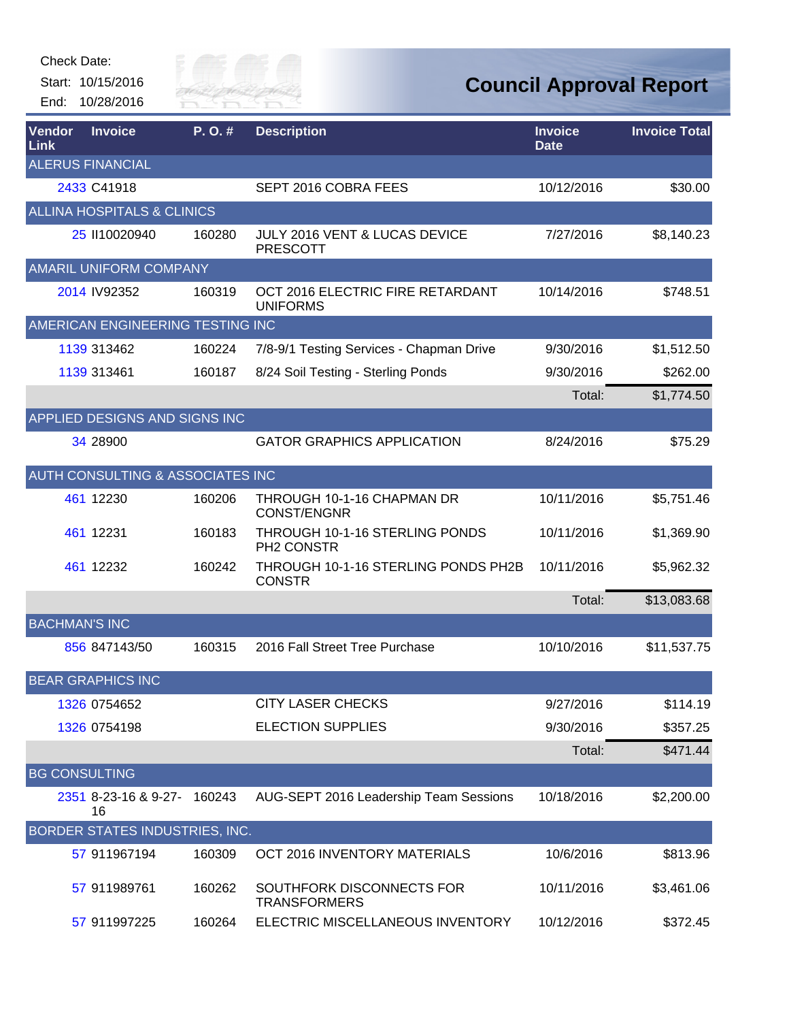

| Vendor<br>Link       | <b>Invoice</b>                              | P.O.#  | <b>Description</b>                                   | <b>Invoice</b><br><b>Date</b> | <b>Invoice Total</b> |
|----------------------|---------------------------------------------|--------|------------------------------------------------------|-------------------------------|----------------------|
|                      | <b>ALERUS FINANCIAL</b>                     |        |                                                      |                               |                      |
|                      | 2433 C41918                                 |        | SEPT 2016 COBRA FEES                                 | 10/12/2016                    | \$30.00              |
|                      | <b>ALLINA HOSPITALS &amp; CLINICS</b>       |        |                                                      |                               |                      |
|                      | 25 II10020940                               | 160280 | JULY 2016 VENT & LUCAS DEVICE<br><b>PRESCOTT</b>     | 7/27/2016                     | \$8,140.23           |
|                      | <b>AMARIL UNIFORM COMPANY</b>               |        |                                                      |                               |                      |
|                      | 2014 IV92352                                | 160319 | OCT 2016 ELECTRIC FIRE RETARDANT<br><b>UNIFORMS</b>  | 10/14/2016                    | \$748.51             |
|                      | AMERICAN ENGINEERING TESTING INC            |        |                                                      |                               |                      |
|                      | 1139 313462                                 | 160224 | 7/8-9/1 Testing Services - Chapman Drive             | 9/30/2016                     | \$1,512.50           |
|                      | 1139 313461                                 | 160187 | 8/24 Soil Testing - Sterling Ponds                   | 9/30/2016                     | \$262.00             |
|                      |                                             |        |                                                      | Total:                        | \$1,774.50           |
|                      | APPLIED DESIGNS AND SIGNS INC               |        |                                                      |                               |                      |
|                      | 34 28900                                    |        | <b>GATOR GRAPHICS APPLICATION</b>                    | 8/24/2016                     | \$75.29              |
|                      | <b>AUTH CONSULTING &amp; ASSOCIATES INC</b> |        |                                                      |                               |                      |
|                      | 461 12230                                   | 160206 | THROUGH 10-1-16 CHAPMAN DR<br><b>CONST/ENGNR</b>     | 10/11/2016                    | \$5,751.46           |
|                      | 461 12231                                   | 160183 | THROUGH 10-1-16 STERLING PONDS<br>PH2 CONSTR         | 10/11/2016                    | \$1,369.90           |
|                      | 461 12232                                   | 160242 | THROUGH 10-1-16 STERLING PONDS PH2B<br><b>CONSTR</b> | 10/11/2016                    | \$5,962.32           |
|                      |                                             |        |                                                      | Total:                        | \$13,083.68          |
| <b>BACHMAN'S INC</b> |                                             |        |                                                      |                               |                      |
|                      | 856 847143/50                               | 160315 | 2016 Fall Street Tree Purchase                       | 10/10/2016                    | \$11,537.75          |
|                      | <b>BEAR GRAPHICS INC</b>                    |        |                                                      |                               |                      |
|                      | 1326 0754652                                |        | <b>CITY LASER CHECKS</b>                             | 9/27/2016                     | \$114.19             |
|                      | 1326 0754198                                |        | <b>ELECTION SUPPLIES</b>                             | 9/30/2016                     | \$357.25             |
|                      |                                             |        |                                                      | Total:                        | \$471.44             |
| <b>BG CONSULTING</b> |                                             |        |                                                      |                               |                      |
|                      | 2351 8-23-16 & 9-27- 160243<br>16           |        | AUG-SEPT 2016 Leadership Team Sessions               | 10/18/2016                    | \$2,200.00           |
|                      | BORDER STATES INDUSTRIES, INC.              |        |                                                      |                               |                      |
|                      | 57 911967194                                | 160309 | OCT 2016 INVENTORY MATERIALS                         | 10/6/2016                     | \$813.96             |
|                      | 57 911989761                                | 160262 | SOUTHFORK DISCONNECTS FOR<br><b>TRANSFORMERS</b>     | 10/11/2016                    | \$3,461.06           |
|                      | 57 911997225                                | 160264 | ELECTRIC MISCELLANEOUS INVENTORY                     | 10/12/2016                    | \$372.45             |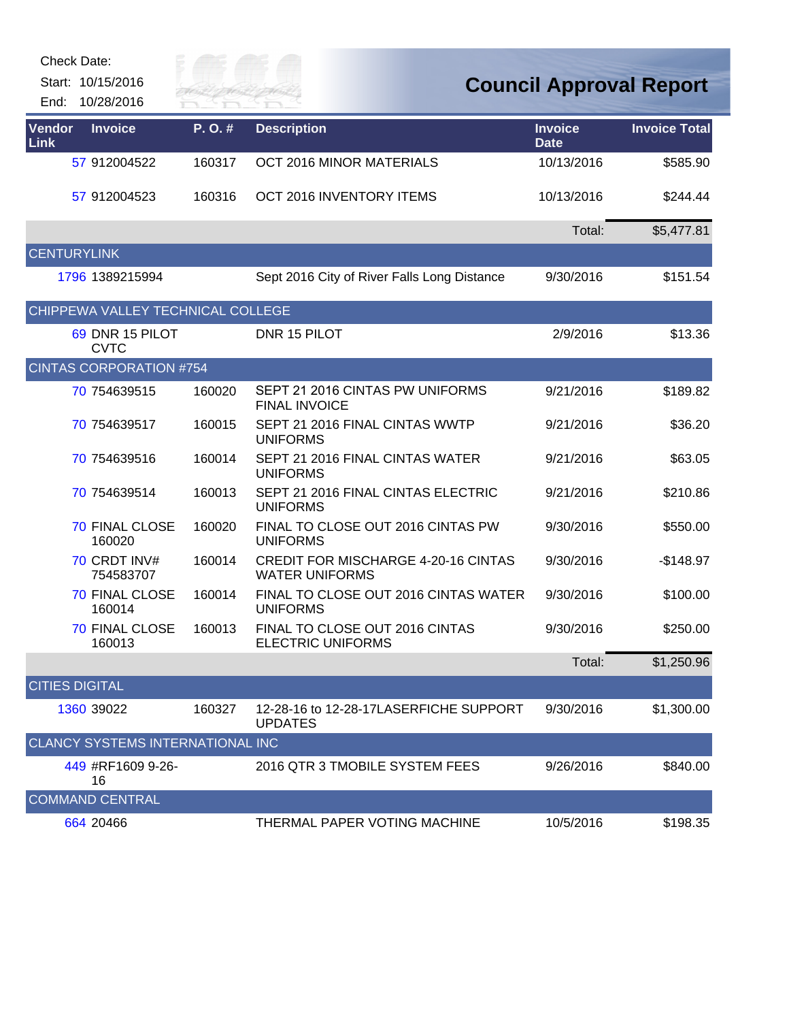Start: 10/15/2016

End: 10/28/2016



| Vendor<br>Link        | <b>Invoice</b>                    | P.O.#  | <b>Description</b>                                                  | <b>Invoice</b><br><b>Date</b> | <b>Invoice Total</b> |
|-----------------------|-----------------------------------|--------|---------------------------------------------------------------------|-------------------------------|----------------------|
|                       | 57 912004522                      | 160317 | OCT 2016 MINOR MATERIALS                                            | 10/13/2016                    | \$585.90             |
|                       | 57 912004523                      | 160316 | OCT 2016 INVENTORY ITEMS                                            | 10/13/2016                    | \$244.44             |
|                       |                                   |        |                                                                     | Total:                        | \$5,477.81           |
| <b>CENTURYLINK</b>    |                                   |        |                                                                     |                               |                      |
|                       | 1796 1389215994                   |        | Sept 2016 City of River Falls Long Distance                         | 9/30/2016                     | \$151.54             |
|                       | CHIPPEWA VALLEY TECHNICAL COLLEGE |        |                                                                     |                               |                      |
|                       | 69 DNR 15 PILOT<br><b>CVTC</b>    |        | DNR 15 PILOT                                                        | 2/9/2016                      | \$13.36              |
|                       | <b>CINTAS CORPORATION #754</b>    |        |                                                                     |                               |                      |
|                       | 70 754639515                      | 160020 | SEPT 21 2016 CINTAS PW UNIFORMS<br><b>FINAL INVOICE</b>             | 9/21/2016                     | \$189.82             |
|                       | 70 754639517                      | 160015 | SEPT 21 2016 FINAL CINTAS WWTP<br><b>UNIFORMS</b>                   | 9/21/2016                     | \$36.20              |
|                       | 70 754639516                      | 160014 | SEPT 21 2016 FINAL CINTAS WATER<br><b>UNIFORMS</b>                  | 9/21/2016                     | \$63.05              |
|                       | 70 754639514                      | 160013 | SEPT 21 2016 FINAL CINTAS ELECTRIC<br><b>UNIFORMS</b>               | 9/21/2016                     | \$210.86             |
|                       | <b>70 FINAL CLOSE</b><br>160020   | 160020 | FINAL TO CLOSE OUT 2016 CINTAS PW<br><b>UNIFORMS</b>                | 9/30/2016                     | \$550.00             |
|                       | 70 CRDT INV#<br>754583707         | 160014 | <b>CREDIT FOR MISCHARGE 4-20-16 CINTAS</b><br><b>WATER UNIFORMS</b> | 9/30/2016                     | $-$148.97$           |
|                       | 70 FINAL CLOSE<br>160014          | 160014 | FINAL TO CLOSE OUT 2016 CINTAS WATER<br><b>UNIFORMS</b>             | 9/30/2016                     | \$100.00             |
|                       | <b>70 FINAL CLOSE</b><br>160013   | 160013 | FINAL TO CLOSE OUT 2016 CINTAS<br><b>ELECTRIC UNIFORMS</b>          | 9/30/2016                     | \$250.00             |
|                       |                                   |        |                                                                     | Total:                        | \$1,250.96           |
| <b>CITIES DIGITAL</b> |                                   |        |                                                                     |                               |                      |
|                       | 1360 39022                        | 160327 | 12-28-16 to 12-28-17LASERFICHE SUPPORT<br><b>UPDATES</b>            | 9/30/2016                     | \$1,300.00           |
|                       | CLANCY SYSTEMS INTERNATIONAL INC  |        |                                                                     |                               |                      |
|                       | 449 #RF1609 9-26-<br>16           |        | 2016 QTR 3 TMOBILE SYSTEM FEES                                      | 9/26/2016                     | \$840.00             |
|                       | <b>COMMAND CENTRAL</b>            |        |                                                                     |                               |                      |
|                       | 664 20466                         |        | THERMAL PAPER VOTING MACHINE                                        | 10/5/2016                     | \$198.35             |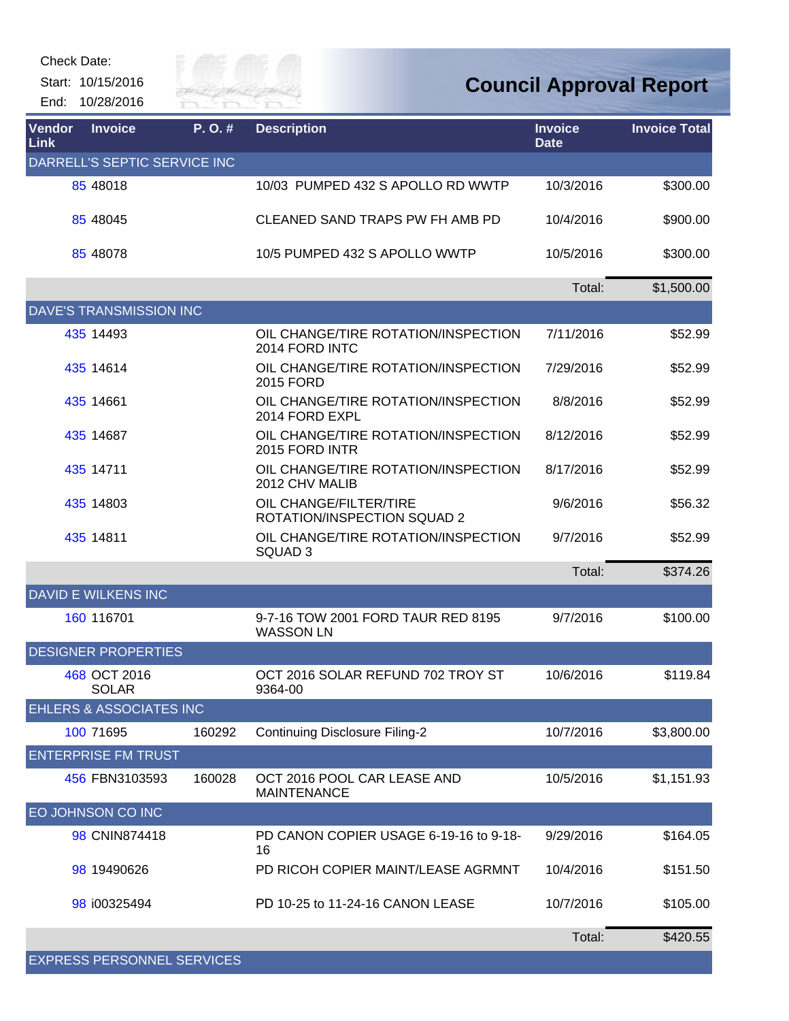

| Vendor<br><b>Link</b> | <b>Invoice</b>                     | P.O.#  | <b>Description</b>                                        | <b>Invoice</b><br><b>Date</b> | <b>Invoice Total</b> |
|-----------------------|------------------------------------|--------|-----------------------------------------------------------|-------------------------------|----------------------|
|                       | DARRELL'S SEPTIC SERVICE INC       |        |                                                           |                               |                      |
|                       | 85 48018                           |        | 10/03 PUMPED 432 S APOLLO RD WWTP                         | 10/3/2016                     | \$300.00             |
|                       | 85 48045                           |        | CLEANED SAND TRAPS PW FH AMB PD                           | 10/4/2016                     | \$900.00             |
|                       | 85 48078                           |        | 10/5 PUMPED 432 S APOLLO WWTP                             | 10/5/2016                     | \$300.00             |
|                       |                                    |        |                                                           | Total:                        | \$1,500.00           |
|                       | <b>DAVE'S TRANSMISSION INC</b>     |        |                                                           |                               |                      |
|                       | 435 14493                          |        | OIL CHANGE/TIRE ROTATION/INSPECTION<br>2014 FORD INTC     | 7/11/2016                     | \$52.99              |
|                       | 435 14614                          |        | OIL CHANGE/TIRE ROTATION/INSPECTION<br>2015 FORD          | 7/29/2016                     | \$52.99              |
|                       | 435 14661                          |        | OIL CHANGE/TIRE ROTATION/INSPECTION<br>2014 FORD EXPL     | 8/8/2016                      | \$52.99              |
|                       | 435 14687                          |        | OIL CHANGE/TIRE ROTATION/INSPECTION<br>2015 FORD INTR     | 8/12/2016                     | \$52.99              |
|                       | 435 14711                          |        | OIL CHANGE/TIRE ROTATION/INSPECTION<br>2012 CHV MALIB     | 8/17/2016                     | \$52.99              |
|                       | 435 14803                          |        | OIL CHANGE/FILTER/TIRE<br>ROTATION/INSPECTION SQUAD 2     | 9/6/2016                      | \$56.32              |
|                       | 435 14811                          |        | OIL CHANGE/TIRE ROTATION/INSPECTION<br>SQUAD <sub>3</sub> | 9/7/2016                      | \$52.99              |
|                       |                                    |        |                                                           | Total:                        | \$374.26             |
|                       | <b>DAVID E WILKENS INC</b>         |        |                                                           |                               |                      |
|                       | 160 116701                         |        | 9-7-16 TOW 2001 FORD TAUR RED 8195<br><b>WASSON LN</b>    | 9/7/2016                      | \$100.00             |
|                       | <b>DESIGNER PROPERTIES</b>         |        |                                                           |                               |                      |
|                       | 468 OCT 2016<br><b>SOLAR</b>       |        | OCT 2016 SOLAR REFUND 702 TROY ST<br>9364-00              | 10/6/2016                     | \$119.84             |
|                       | <b>EHLERS &amp; ASSOCIATES INC</b> |        |                                                           |                               |                      |
|                       | 100 71695                          | 160292 | <b>Continuing Disclosure Filing-2</b>                     | 10/7/2016                     | \$3,800.00           |
|                       | <b>ENTERPRISE FM TRUST</b>         |        |                                                           |                               |                      |
|                       | 456 FBN3103593                     | 160028 | OCT 2016 POOL CAR LEASE AND<br><b>MAINTENANCE</b>         | 10/5/2016                     | \$1,151.93           |
|                       | EO JOHNSON CO INC                  |        |                                                           |                               |                      |
|                       | 98 CNIN874418                      |        | PD CANON COPIER USAGE 6-19-16 to 9-18-<br>16              | 9/29/2016                     | \$164.05             |
|                       | 98 19490626                        |        | PD RICOH COPIER MAINT/LEASE AGRMNT                        | 10/4/2016                     | \$151.50             |
|                       | 98 i00325494                       |        | PD 10-25 to 11-24-16 CANON LEASE                          | 10/7/2016                     | \$105.00             |
|                       |                                    |        |                                                           | Total:                        | \$420.55             |
|                       | <b>EXPRESS PERSONNEL SERVICES</b>  |        |                                                           |                               |                      |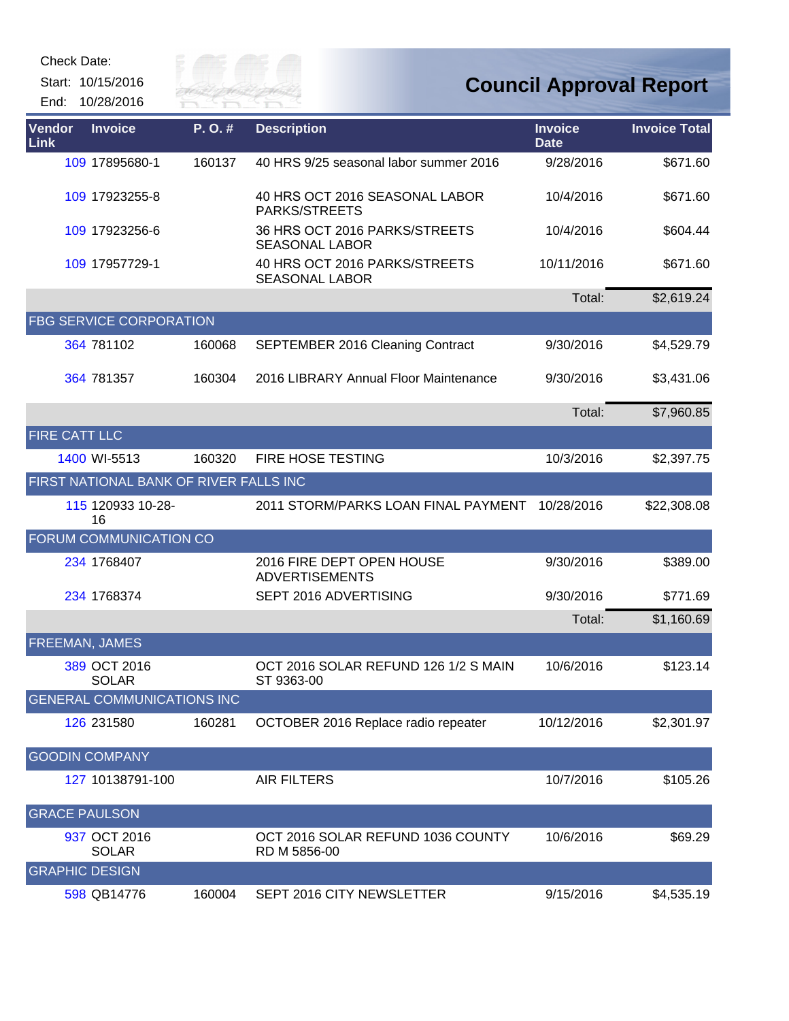Start: 10/15/2016 End: 10/28/2016



| Vendor<br>Link        | <b>Invoice</b>                         | P.O.#  | <b>Description</b>                                     | <b>Invoice</b><br><b>Date</b> | <b>Invoice Total</b> |
|-----------------------|----------------------------------------|--------|--------------------------------------------------------|-------------------------------|----------------------|
|                       | 109 17895680-1                         | 160137 | 40 HRS 9/25 seasonal labor summer 2016                 | 9/28/2016                     | \$671.60             |
|                       | 109 17923255-8                         |        | 40 HRS OCT 2016 SEASONAL LABOR<br>PARKS/STREETS        | 10/4/2016                     | \$671.60             |
|                       | 109 17923256-6                         |        | 36 HRS OCT 2016 PARKS/STREETS<br><b>SEASONAL LABOR</b> | 10/4/2016                     | \$604.44             |
|                       | 109 17957729-1                         |        | 40 HRS OCT 2016 PARKS/STREETS<br><b>SEASONAL LABOR</b> | 10/11/2016                    | \$671.60             |
|                       |                                        |        |                                                        | Total:                        | \$2,619.24           |
|                       | <b>FBG SERVICE CORPORATION</b>         |        |                                                        |                               |                      |
|                       | 364 781102                             | 160068 | <b>SEPTEMBER 2016 Cleaning Contract</b>                | 9/30/2016                     | \$4,529.79           |
|                       | 364 781357                             | 160304 | 2016 LIBRARY Annual Floor Maintenance                  | 9/30/2016                     | \$3,431.06           |
|                       |                                        |        |                                                        | Total:                        | \$7,960.85           |
| <b>FIRE CATT LLC</b>  |                                        |        |                                                        |                               |                      |
|                       | 1400 WI-5513                           | 160320 | FIRE HOSE TESTING                                      | 10/3/2016                     | \$2,397.75           |
|                       | FIRST NATIONAL BANK OF RIVER FALLS INC |        |                                                        |                               |                      |
|                       | 115 120933 10-28-<br>16                |        | 2011 STORM/PARKS LOAN FINAL PAYMENT                    | 10/28/2016                    | \$22,308.08          |
|                       | FORUM COMMUNICATION CO                 |        |                                                        |                               |                      |
|                       | 234 1768407                            |        | 2016 FIRE DEPT OPEN HOUSE<br><b>ADVERTISEMENTS</b>     | 9/30/2016                     | \$389.00             |
|                       | 234 1768374                            |        | SEPT 2016 ADVERTISING                                  | 9/30/2016                     | \$771.69             |
|                       |                                        |        |                                                        | Total:                        | \$1,160.69           |
| <b>FREEMAN, JAMES</b> |                                        |        |                                                        |                               |                      |
|                       | 389 OCT 2016<br><b>SOLAR</b>           |        | OCT 2016 SOLAR REFUND 126 1/2 S MAIN<br>ST 9363-00     | 10/6/2016                     | \$123.14             |
|                       | <b>GENERAL COMMUNICATIONS INC</b>      |        |                                                        |                               |                      |
|                       | 126 231580                             | 160281 | OCTOBER 2016 Replace radio repeater                    | 10/12/2016                    | \$2,301.97           |
|                       | <b>GOODIN COMPANY</b>                  |        |                                                        |                               |                      |
|                       | 127 10138791-100                       |        | <b>AIR FILTERS</b>                                     | 10/7/2016                     | \$105.26             |
| <b>GRACE PAULSON</b>  |                                        |        |                                                        |                               |                      |
|                       | 937 OCT 2016<br><b>SOLAR</b>           |        | OCT 2016 SOLAR REFUND 1036 COUNTY<br>RD M 5856-00      | 10/6/2016                     | \$69.29              |
| <b>GRAPHIC DESIGN</b> |                                        |        |                                                        |                               |                      |
|                       | 598 QB14776                            | 160004 | SEPT 2016 CITY NEWSLETTER                              | 9/15/2016                     | \$4,535.19           |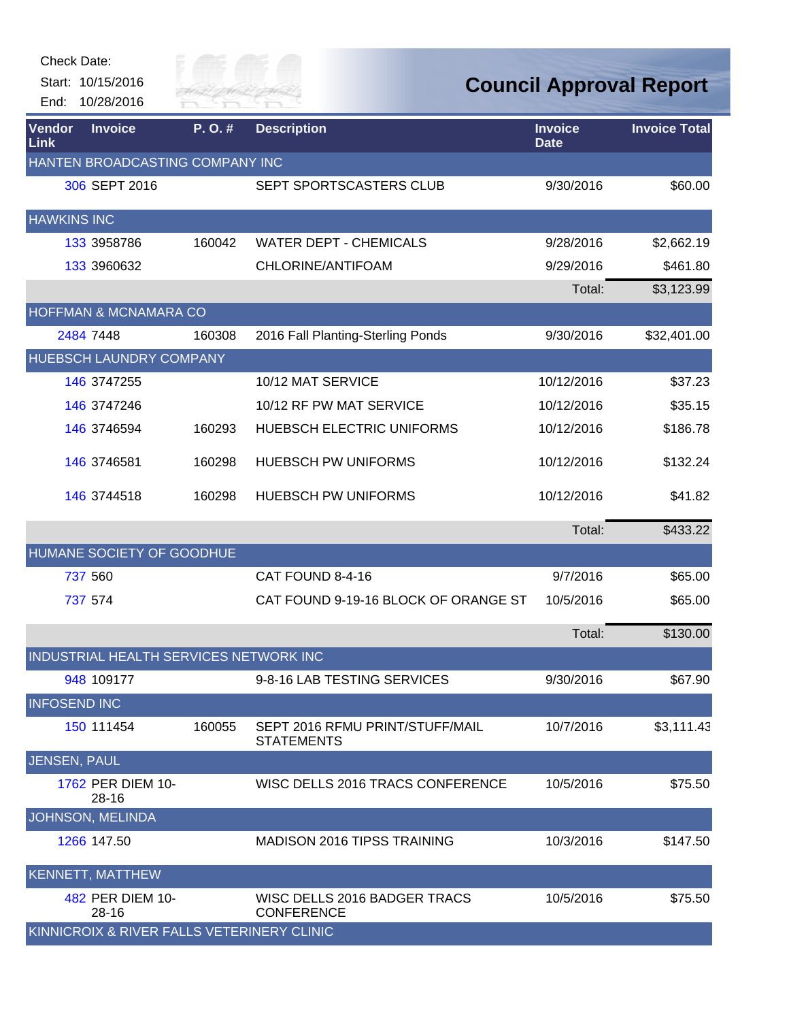| <b>Check Date:</b>                         |                       |                                                      |                                |                      |
|--------------------------------------------|-----------------------|------------------------------------------------------|--------------------------------|----------------------|
| Start: 10/15/2016<br>10/28/2016<br>End:    | Silly of<br>RIVER FAI |                                                      | <b>Council Approval Report</b> |                      |
| Vendor<br><b>Invoice</b><br>Link           | P.O.#                 | <b>Description</b>                                   | <b>Invoice</b><br><b>Date</b>  | <b>Invoice Total</b> |
| HANTEN BROADCASTING COMPANY INC            |                       |                                                      |                                |                      |
| 306 SEPT 2016                              |                       | SEPT SPORTSCASTERS CLUB                              | 9/30/2016                      | \$60.00              |
| <b>HAWKINS INC</b>                         |                       |                                                      |                                |                      |
| 133 3958786                                | 160042                | <b>WATER DEPT - CHEMICALS</b>                        | 9/28/2016                      | \$2,662.19           |
| 133 3960632                                |                       | CHLORINE/ANTIFOAM                                    | 9/29/2016                      | \$461.80             |
|                                            |                       |                                                      | Total:                         | \$3,123.99           |
| HOFFMAN & MCNAMARA CO                      |                       |                                                      |                                |                      |
| 2484 7448                                  | 160308                | 2016 Fall Planting-Sterling Ponds                    | 9/30/2016                      | \$32,401.00          |
| HUEBSCH LAUNDRY COMPANY                    |                       |                                                      |                                |                      |
| 146 3747255                                |                       | 10/12 MAT SERVICE                                    | 10/12/2016                     | \$37.23              |
| 146 3747246                                |                       | 10/12 RF PW MAT SERVICE                              | 10/12/2016                     | \$35.15              |
| 146 374 6594                               | 160293                | HUEBSCH ELECTRIC UNIFORMS                            | 10/12/2016                     | \$186.78             |
| 146 374 6581                               | 160298                | <b>HUEBSCH PW UNIFORMS</b>                           | 10/12/2016                     | \$132.24             |
| 146 3744518                                | 160298                | <b>HUEBSCH PW UNIFORMS</b>                           | 10/12/2016                     | \$41.82              |
|                                            |                       |                                                      | Total:                         | \$433.22             |
| HUMANE SOCIETY OF GOODHUE                  |                       |                                                      |                                |                      |
| 737 560                                    |                       | CAT FOUND 8-4-16                                     | 9/7/2016                       | \$65.00              |
| 737 574                                    |                       | CAT FOUND 9-19-16 BLOCK OF ORANGE ST                 | 10/5/2016                      | \$65.00              |
|                                            |                       |                                                      | Total:                         | \$130.00             |
| INDUSTRIAL HEALTH SERVICES NETWORK INC     |                       |                                                      |                                |                      |
| 948 109177                                 |                       | 9-8-16 LAB TESTING SERVICES                          | 9/30/2016                      | \$67.90              |
| <b>INFOSEND INC</b>                        |                       |                                                      |                                |                      |
| 150 111454                                 | 160055                | SEPT 2016 RFMU PRINT/STUFF/MAIL<br><b>STATEMENTS</b> | 10/7/2016                      | \$3,111.43           |
| <b>JENSEN, PAUL</b>                        |                       |                                                      |                                |                      |
| 1762 PER DIEM 10-<br>28-16                 |                       | WISC DELLS 2016 TRACS CONFERENCE                     | 10/5/2016                      | \$75.50              |
| JOHNSON, MELINDA                           |                       |                                                      |                                |                      |
| 1266 147.50                                |                       | <b>MADISON 2016 TIPSS TRAINING</b>                   | 10/3/2016                      | \$147.50             |
| <b>KENNETT, MATTHEW</b>                    |                       |                                                      |                                |                      |
| 482 PER DIEM 10-<br>28-16                  |                       | WISC DELLS 2016 BADGER TRACS<br><b>CONFERENCE</b>    | 10/5/2016                      | \$75.50              |
| KINNICROIX & RIVER FALLS VETERINERY CLINIC |                       |                                                      |                                |                      |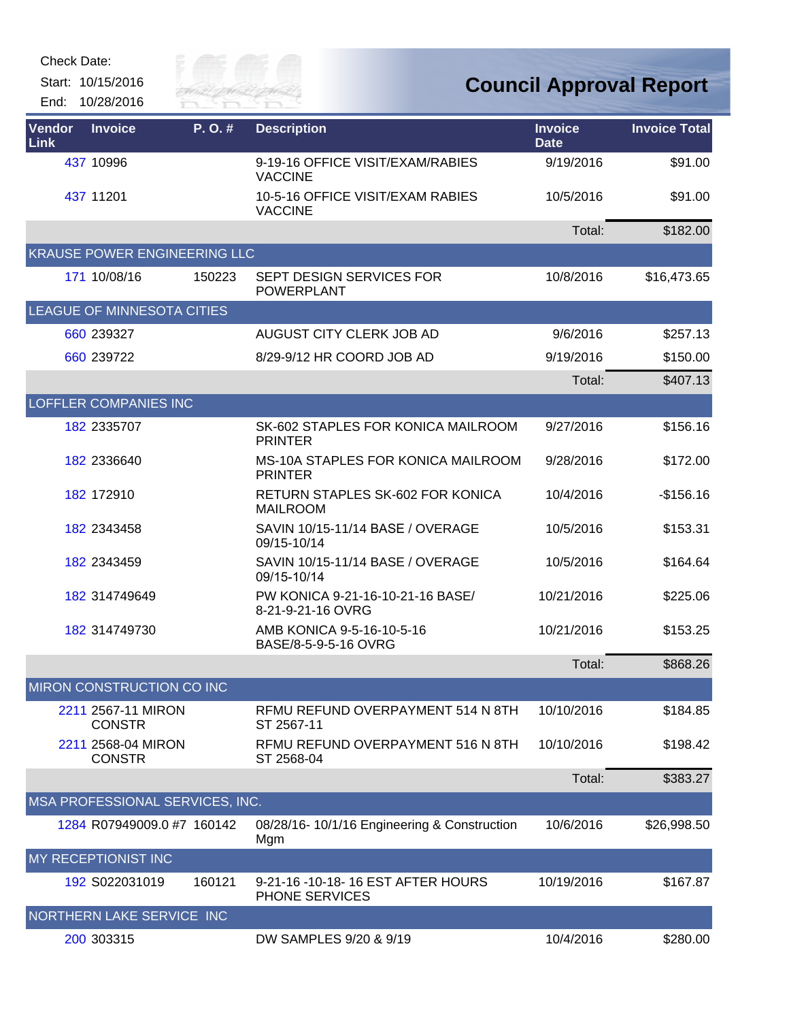Start: 10/15/2016 End: 10/28/2016



| Vendor<br>Link | <b>Invoice</b>                      | P.O.#  | <b>Description</b>                                          | <b>Invoice</b><br><b>Date</b> | <b>Invoice Total</b> |
|----------------|-------------------------------------|--------|-------------------------------------------------------------|-------------------------------|----------------------|
|                | 437 10996                           |        | 9-19-16 OFFICE VISIT/EXAM/RABIES<br><b>VACCINE</b>          | 9/19/2016                     | \$91.00              |
|                | 437 11201                           |        | 10-5-16 OFFICE VISIT/EXAM RABIES<br><b>VACCINE</b>          | 10/5/2016                     | \$91.00              |
|                |                                     |        |                                                             | Total:                        | \$182.00             |
|                | <b>KRAUSE POWER ENGINEERING LLC</b> |        |                                                             |                               |                      |
|                | 171 10/08/16                        | 150223 | SEPT DESIGN SERVICES FOR<br><b>POWERPLANT</b>               | 10/8/2016                     | \$16,473.65          |
|                | LEAGUE OF MINNESOTA CITIES          |        |                                                             |                               |                      |
|                | 660 239327                          |        | AUGUST CITY CLERK JOB AD                                    | 9/6/2016                      | \$257.13             |
|                | 660 239722                          |        | 8/29-9/12 HR COORD JOB AD                                   | 9/19/2016                     | \$150.00             |
|                |                                     |        |                                                             | Total:                        | \$407.13             |
|                | LOFFLER COMPANIES INC               |        |                                                             |                               |                      |
|                | 182 2335707                         |        | SK-602 STAPLES FOR KONICA MAILROOM<br><b>PRINTER</b>        | 9/27/2016                     | \$156.16             |
|                | 182 2336640                         |        | <b>MS-10A STAPLES FOR KONICA MAILROOM</b><br><b>PRINTER</b> | 9/28/2016                     | \$172.00             |
|                | 182 172910                          |        | RETURN STAPLES SK-602 FOR KONICA<br><b>MAILROOM</b>         | 10/4/2016                     | $-$156.16$           |
|                | 182 2343458                         |        | SAVIN 10/15-11/14 BASE / OVERAGE<br>09/15-10/14             | 10/5/2016                     | \$153.31             |
|                | 182 2343459                         |        | SAVIN 10/15-11/14 BASE / OVERAGE<br>09/15-10/14             | 10/5/2016                     | \$164.64             |
|                | 182 314749649                       |        | PW KONICA 9-21-16-10-21-16 BASE/<br>8-21-9-21-16 OVRG       | 10/21/2016                    | \$225.06             |
|                | 182 314749730                       |        | AMB KONICA 9-5-16-10-5-16<br>BASE/8-5-9-5-16 OVRG           | 10/21/2016                    | \$153.25             |
|                |                                     |        |                                                             | Total:                        | \$868.26             |
|                | MIRON CONSTRUCTION CO INC           |        |                                                             |                               |                      |
|                | 2211 2567-11 MIRON<br><b>CONSTR</b> |        | RFMU REFUND OVERPAYMENT 514 N 8TH<br>ST 2567-11             | 10/10/2016                    | \$184.85             |
|                | 2211 2568-04 MIRON<br><b>CONSTR</b> |        | RFMU REFUND OVERPAYMENT 516 N 8TH<br>ST 2568-04             | 10/10/2016                    | \$198.42             |
|                |                                     |        |                                                             | Total:                        | \$383.27             |
|                | MSA PROFESSIONAL SERVICES, INC.     |        |                                                             |                               |                      |
|                | 1284 R07949009.0 #7 160142          |        | 08/28/16-10/1/16 Engineering & Construction<br>Mgm          | 10/6/2016                     | \$26,998.50          |
|                | MY RECEPTIONIST INC                 |        |                                                             |                               |                      |
|                | 192 S022031019                      | 160121 | 9-21-16 -10-18-16 EST AFTER HOURS<br>PHONE SERVICES         | 10/19/2016                    | \$167.87             |
|                | NORTHERN LAKE SERVICE INC           |        |                                                             |                               |                      |
|                | 200 303315                          |        | DW SAMPLES 9/20 & 9/19                                      | 10/4/2016                     | \$280.00             |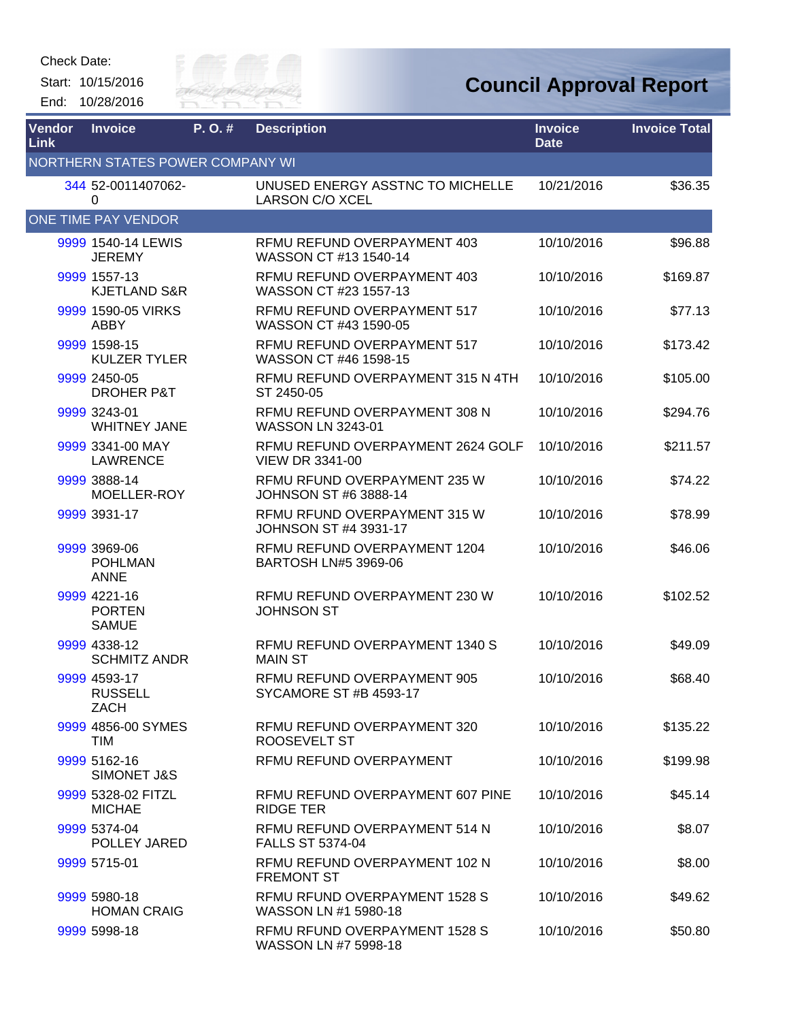

| Vendor<br><b>Link</b>            | <b>Invoice</b>                                | P.O.# | <b>Description</b>                                           | <b>Invoice</b><br><b>Date</b> | <b>Invoice Total</b> |  |  |  |
|----------------------------------|-----------------------------------------------|-------|--------------------------------------------------------------|-------------------------------|----------------------|--|--|--|
| NORTHERN STATES POWER COMPANY WI |                                               |       |                                                              |                               |                      |  |  |  |
|                                  | 344 52-0011407062-<br>0                       |       | UNUSED ENERGY ASSTNC TO MICHELLE<br><b>LARSON C/O XCEL</b>   | 10/21/2016                    | \$36.35              |  |  |  |
|                                  | ONE TIME PAY VENDOR                           |       |                                                              |                               |                      |  |  |  |
|                                  | 9999 1540-14 LEWIS<br><b>JEREMY</b>           |       | RFMU REFUND OVERPAYMENT 403<br>WASSON CT #13 1540-14         | 10/10/2016                    | \$96.88              |  |  |  |
|                                  | 9999 1557-13<br><b>KJETLAND S&amp;R</b>       |       | RFMU REFUND OVERPAYMENT 403<br>WASSON CT #23 1557-13         | 10/10/2016                    | \$169.87             |  |  |  |
|                                  | 9999 1590-05 VIRKS<br><b>ABBY</b>             |       | RFMU REFUND OVERPAYMENT 517<br>WASSON CT #43 1590-05         | 10/10/2016                    | \$77.13              |  |  |  |
|                                  | 9999 1598-15<br><b>KULZER TYLER</b>           |       | RFMU REFUND OVERPAYMENT 517<br>WASSON CT #46 1598-15         | 10/10/2016                    | \$173.42             |  |  |  |
|                                  | 9999 2450-05<br><b>DROHER P&amp;T</b>         |       | RFMU REFUND OVERPAYMENT 315 N 4TH<br>ST 2450-05              | 10/10/2016                    | \$105.00             |  |  |  |
|                                  | 9999 3243-01<br><b>WHITNEY JANE</b>           |       | RFMU REFUND OVERPAYMENT 308 N<br><b>WASSON LN 3243-01</b>    | 10/10/2016                    | \$294.76             |  |  |  |
|                                  | 9999 3341-00 MAY<br><b>LAWRENCE</b>           |       | RFMU REFUND OVERPAYMENT 2624 GOLF<br><b>VIEW DR 3341-00</b>  | 10/10/2016                    | \$211.57             |  |  |  |
|                                  | 9999 3888-14<br>MOELLER-ROY                   |       | RFMU RFUND OVERPAYMENT 235 W<br>JOHNSON ST #6 3888-14        | 10/10/2016                    | \$74.22              |  |  |  |
|                                  | 9999 3931-17                                  |       | RFMU RFUND OVERPAYMENT 315 W<br>JOHNSON ST #4 3931-17        | 10/10/2016                    | \$78.99              |  |  |  |
|                                  | 9999 3969-06<br><b>POHLMAN</b><br><b>ANNE</b> |       | RFMU REFUND OVERPAYMENT 1204<br><b>BARTOSH LN#5 3969-06</b>  | 10/10/2016                    | \$46.06              |  |  |  |
|                                  | 9999 4221-16<br><b>PORTEN</b><br><b>SAMUE</b> |       | RFMU REFUND OVERPAYMENT 230 W<br><b>JOHNSON ST</b>           | 10/10/2016                    | \$102.52             |  |  |  |
|                                  | 9999 4338-12<br><b>SCHMITZ ANDR</b>           |       | RFMU REFUND OVERPAYMENT 1340 S<br><b>MAIN ST</b>             | 10/10/2016                    | \$49.09              |  |  |  |
|                                  | 9999 4593-17<br><b>RUSSELL</b><br>ZACH        |       | RFMU REFUND OVERPAYMENT 905<br><b>SYCAMORE ST #B 4593-17</b> | 10/10/2016                    | \$68.40              |  |  |  |
|                                  | 9999 4856-00 SYMES<br>TIM                     |       | RFMU REFUND OVERPAYMENT 320<br>ROOSEVELT ST                  | 10/10/2016                    | \$135.22             |  |  |  |
|                                  | 9999 5162-16<br>SIMONET J&S                   |       | RFMU REFUND OVERPAYMENT                                      | 10/10/2016                    | \$199.98             |  |  |  |
|                                  | 9999 5328-02 FITZL<br><b>MICHAE</b>           |       | RFMU REFUND OVERPAYMENT 607 PINE<br><b>RIDGE TER</b>         | 10/10/2016                    | \$45.14              |  |  |  |
|                                  | 9999 5374-04<br>POLLEY JARED                  |       | RFMU REFUND OVERPAYMENT 514 N<br><b>FALLS ST 5374-04</b>     | 10/10/2016                    | \$8.07               |  |  |  |
|                                  | 9999 5715-01                                  |       | RFMU REFUND OVERPAYMENT 102 N<br><b>FREMONT ST</b>           | 10/10/2016                    | \$8.00               |  |  |  |
|                                  | 9999 5980-18<br><b>HOMAN CRAIG</b>            |       | RFMU RFUND OVERPAYMENT 1528 S<br>WASSON LN #1 5980-18        | 10/10/2016                    | \$49.62              |  |  |  |
|                                  | 9999 5998-18                                  |       | RFMU RFUND OVERPAYMENT 1528 S<br>WASSON LN #7 5998-18        | 10/10/2016                    | \$50.80              |  |  |  |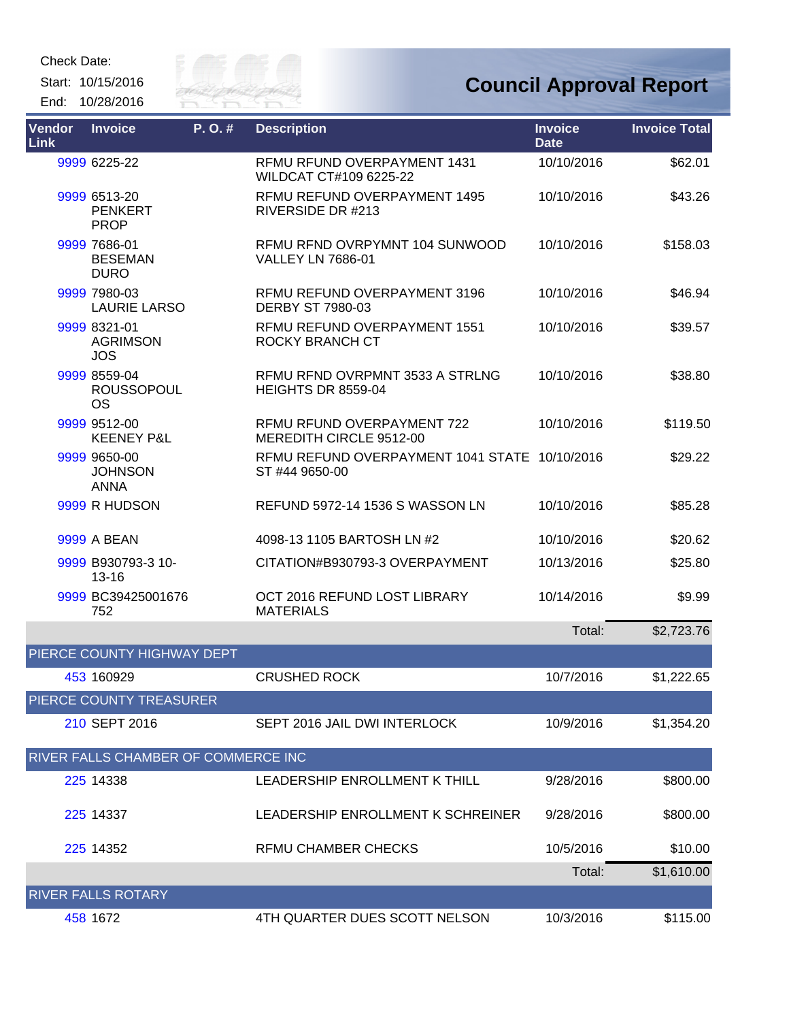Start: 10/15/2016 End: 10/28/2016



| Vendor<br><b>Link</b> | <b>Invoice</b>                                 | P. O. # | <b>Description</b>                                              | <b>Invoice</b><br><b>Date</b> | <b>Invoice Total</b> |
|-----------------------|------------------------------------------------|---------|-----------------------------------------------------------------|-------------------------------|----------------------|
|                       | 9999 6225-22                                   |         | RFMU RFUND OVERPAYMENT 1431<br>WILDCAT CT#109 6225-22           | 10/10/2016                    | \$62.01              |
|                       | 9999 6513-20<br><b>PENKERT</b><br><b>PROP</b>  |         | RFMU REFUND OVERPAYMENT 1495<br>RIVERSIDE DR #213               | 10/10/2016                    | \$43.26              |
|                       | 9999 7686-01<br><b>BESEMAN</b><br><b>DURO</b>  |         | RFMU RFND OVRPYMNT 104 SUNWOOD<br><b>VALLEY LN 7686-01</b>      | 10/10/2016                    | \$158.03             |
|                       | 9999 7980-03<br><b>LAURIE LARSO</b>            |         | RFMU REFUND OVERPAYMENT 3196<br><b>DERBY ST 7980-03</b>         | 10/10/2016                    | \$46.94              |
|                       | 9999 8321-01<br><b>AGRIMSON</b><br><b>JOS</b>  |         | RFMU REFUND OVERPAYMENT 1551<br>ROCKY BRANCH CT                 | 10/10/2016                    | \$39.57              |
|                       | 9999 8559-04<br><b>ROUSSOPOUL</b><br><b>OS</b> |         | RFMU RFND OVRPMNT 3533 A STRLNG<br><b>HEIGHTS DR 8559-04</b>    | 10/10/2016                    | \$38.80              |
|                       | 9999 9512-00<br><b>KEENEY P&amp;L</b>          |         | RFMU RFUND OVERPAYMENT 722<br>MEREDITH CIRCLE 9512-00           | 10/10/2016                    | \$119.50             |
|                       | 9999 9650-00<br><b>JOHNSON</b><br><b>ANNA</b>  |         | RFMU REFUND OVERPAYMENT 1041 STATE 10/10/2016<br>ST #44 9650-00 |                               | \$29.22              |
|                       | 9999 R HUDSON                                  |         | REFUND 5972-14 1536 S WASSON LN                                 | 10/10/2016                    | \$85.28              |
|                       | 9999 A BEAN                                    |         | 4098-13 1105 BARTOSH LN #2                                      | 10/10/2016                    | \$20.62              |
|                       | 9999 B930793-3 10-<br>$13 - 16$                |         | CITATION#B930793-3 OVERPAYMENT                                  | 10/13/2016                    | \$25.80              |
|                       | 9999 BC39425001676<br>752                      |         | OCT 2016 REFUND LOST LIBRARY<br><b>MATERIALS</b>                | 10/14/2016                    | \$9.99               |
|                       |                                                |         |                                                                 | Total:                        | \$2,723.76           |
|                       | PIERCE COUNTY HIGHWAY DEPT                     |         |                                                                 |                               |                      |
|                       | 453 160929                                     |         | <b>CRUSHED ROCK</b>                                             | 10/7/2016                     | \$1,222.65           |
|                       | PIERCE COUNTY TREASURER                        |         |                                                                 |                               |                      |
|                       | 210 SEPT 2016                                  |         | SEPT 2016 JAIL DWI INTERLOCK                                    | 10/9/2016                     | \$1,354.20           |
|                       | RIVER FALLS CHAMBER OF COMMERCE INC            |         |                                                                 |                               |                      |
|                       | 225 14338                                      |         | LEADERSHIP ENROLLMENT K THILL                                   | 9/28/2016                     | \$800.00             |
|                       | 225 14337                                      |         | LEADERSHIP ENROLLMENT K SCHREINER                               | 9/28/2016                     | \$800.00             |
|                       | 225 14352                                      |         | <b>RFMU CHAMBER CHECKS</b>                                      | 10/5/2016                     | \$10.00              |
|                       |                                                |         |                                                                 | Total:                        | \$1,610.00           |
|                       | <b>RIVER FALLS ROTARY</b>                      |         |                                                                 |                               |                      |
|                       | 458 1672                                       |         | 4TH QUARTER DUES SCOTT NELSON                                   | 10/3/2016                     | \$115.00             |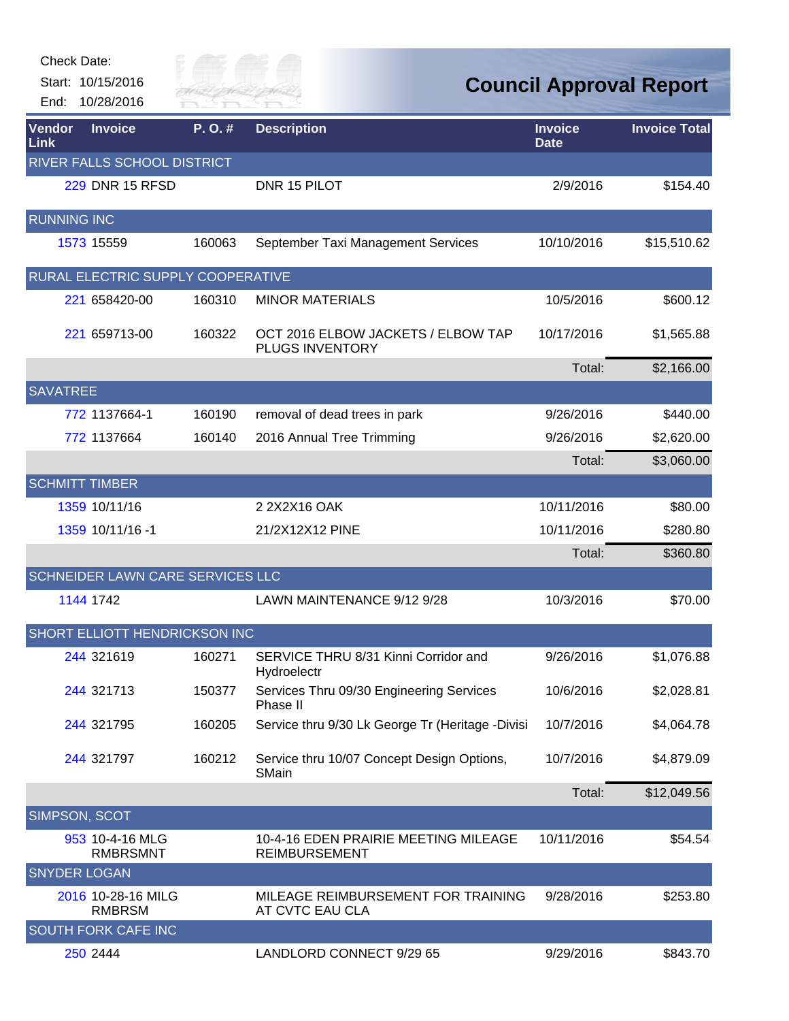| Check Date:<br>End:  | Start: 10/15/2016<br>10/28/2016         | sity of | <b>TVER FAI</b>                                              |                               | <b>Council Approval Report</b> |
|----------------------|-----------------------------------------|---------|--------------------------------------------------------------|-------------------------------|--------------------------------|
| Vendor<br>Link       | <b>Invoice</b>                          | P.O.#   | <b>Description</b>                                           | <b>Invoice</b><br><b>Date</b> | <b>Invoice Total</b>           |
|                      | RIVER FALLS SCHOOL DISTRICT             |         |                                                              |                               |                                |
|                      | <b>229 DNR 15 RFSD</b>                  |         | DNR 15 PILOT                                                 | 2/9/2016                      | \$154.40                       |
| <b>RUNNING INC</b>   |                                         |         |                                                              |                               |                                |
|                      | 1573 15559                              | 160063  | September Taxi Management Services                           | 10/10/2016                    | \$15,510.62                    |
|                      | RURAL ELECTRIC SUPPLY COOPERATIVE       |         |                                                              |                               |                                |
|                      | 221 658420-00                           | 160310  | <b>MINOR MATERIALS</b>                                       | 10/5/2016                     | \$600.12                       |
|                      | 221 659713-00                           | 160322  | OCT 2016 ELBOW JACKETS / ELBOW TAP<br>PLUGS INVENTORY        | 10/17/2016                    | \$1,565.88                     |
|                      |                                         |         |                                                              | Total:                        | \$2,166.00                     |
| <b>SAVATREE</b>      |                                         |         |                                                              |                               |                                |
|                      | 772 1137664-1                           | 160190  | removal of dead trees in park                                | 9/26/2016                     | \$440.00                       |
|                      | 772 1137664                             | 160140  | 2016 Annual Tree Trimming                                    | 9/26/2016                     | \$2,620.00                     |
|                      |                                         |         |                                                              | Total:                        | \$3,060.00                     |
|                      | <b>SCHMITT TIMBER</b>                   |         |                                                              |                               |                                |
|                      | 1359 10/11/16                           |         | 2 2 X 2 X 16 OAK                                             | 10/11/2016                    | \$80.00                        |
|                      | 1359 10/11/16 -1                        |         | 21/2X12X12 PINE                                              | 10/11/2016                    | \$280.80                       |
|                      |                                         |         |                                                              | Total:                        | \$360.80                       |
|                      | <b>SCHNEIDER LAWN CARE SERVICES LLC</b> |         |                                                              |                               |                                |
|                      | 1144 1742                               |         | LAWN MAINTENANCE 9/12 9/28                                   | 10/3/2016                     | \$70.00                        |
|                      | SHORT ELLIOTT HENDRICKSON INC           |         |                                                              |                               |                                |
|                      | 244 321619                              | 160271  | SERVICE THRU 8/31 Kinni Corridor and<br>Hydroelectr          | 9/26/2016                     | \$1,076.88                     |
|                      | 244 321713                              | 150377  | Services Thru 09/30 Engineering Services<br>Phase II         | 10/6/2016                     | \$2,028.81                     |
|                      | 244 321795                              | 160205  | Service thru 9/30 Lk George Tr (Heritage -Divisi             | 10/7/2016                     | \$4,064.78                     |
|                      | 244 321797                              | 160212  | Service thru 10/07 Concept Design Options,<br>SMain          | 10/7/2016                     | \$4,879.09                     |
|                      |                                         |         |                                                              | Total:                        | \$12,049.56                    |
| <b>SIMPSON, SCOT</b> |                                         |         |                                                              |                               |                                |
|                      | 953 10-4-16 MLG<br><b>RMBRSMNT</b>      |         | 10-4-16 EDEN PRAIRIE MEETING MILEAGE<br><b>REIMBURSEMENT</b> | 10/11/2016                    | \$54.54                        |
| <b>SNYDER LOGAN</b>  |                                         |         |                                                              |                               |                                |
|                      | 2016 10-28-16 MILG<br><b>RMBRSM</b>     |         | MILEAGE REIMBURSEMENT FOR TRAINING<br>AT CVTC EAU CLA        | 9/28/2016                     | \$253.80                       |
|                      | <b>SOUTH FORK CAFE INC</b>              |         |                                                              |                               |                                |
|                      | 250 2444                                |         | LANDLORD CONNECT 9/29 65                                     | 9/29/2016                     | \$843.70                       |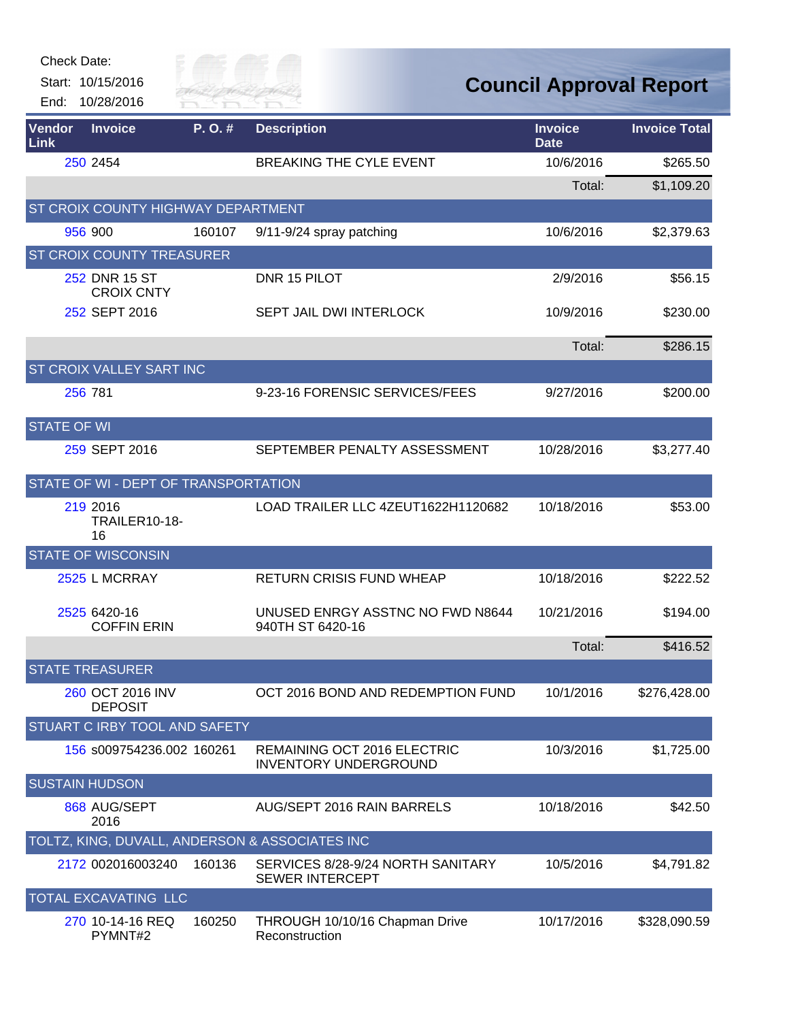| Check Date:<br>End: | Start: 10/15/2016<br>10/28/2016           | City of<br>River Fai |                                                             |                               | <b>Council Approval Report</b> |
|---------------------|-------------------------------------------|----------------------|-------------------------------------------------------------|-------------------------------|--------------------------------|
| Vendor<br>Link      | <b>Invoice</b>                            | P.O.#                | <b>Description</b>                                          | <b>Invoice</b><br><b>Date</b> | <b>Invoice Total</b>           |
|                     | 250 2454                                  |                      | <b>BREAKING THE CYLE EVENT</b>                              | 10/6/2016                     | \$265.50                       |
|                     |                                           |                      |                                                             | Total:                        | \$1,109.20                     |
|                     | <b>ST CROIX COUNTY HIGHWAY DEPARTMENT</b> |                      |                                                             |                               |                                |
|                     | 956 900                                   | 160107               | 9/11-9/24 spray patching                                    | 10/6/2016                     | \$2,379.63                     |
|                     | <b>ST CROIX COUNTY TREASURER</b>          |                      |                                                             |                               |                                |
|                     | 252 DNR 15 ST<br><b>CROIX CNTY</b>        |                      | DNR 15 PILOT                                                | 2/9/2016                      | \$56.15                        |
|                     | 252 SEPT 2016                             |                      | <b>SEPT JAIL DWI INTERLOCK</b>                              | 10/9/2016                     | \$230.00                       |
|                     |                                           |                      |                                                             | Total:                        | \$286.15                       |
|                     | ST CROIX VALLEY SART INC                  |                      |                                                             |                               |                                |
|                     | 256 781                                   |                      | 9-23-16 FORENSIC SERVICES/FEES                              | 9/27/2016                     | \$200.00                       |
| <b>STATE OF WI</b>  |                                           |                      |                                                             |                               |                                |
|                     | 259 SEPT 2016                             |                      | SEPTEMBER PENALTY ASSESSMENT                                | 10/28/2016                    | \$3,277.40                     |
|                     | STATE OF WI - DEPT OF TRANSPORTATION      |                      |                                                             |                               |                                |
|                     | 219 2016<br><b>TRAILER10-18-</b><br>16    |                      | LOAD TRAILER LLC 4ZEUT1622H1120682                          | 10/18/2016                    | \$53.00                        |
|                     | <b>STATE OF WISCONSIN</b>                 |                      |                                                             |                               |                                |
|                     | 2525 L MCRRAY                             |                      | <b>RETURN CRISIS FUND WHEAP</b>                             | 10/18/2016                    | \$222.52                       |
|                     | 2525 6420-16<br><b>COFFIN ERIN</b>        |                      | UNUSED ENRGY ASSTNC NO FWD N8644<br>940TH ST 6420-16        | 10/21/2016                    | \$194.00                       |
|                     |                                           |                      |                                                             | Total:                        | \$416.52                       |
|                     | <b>STATE TREASURER</b>                    |                      |                                                             |                               |                                |
|                     | 260 OCT 2016 INV<br><b>DEPOSIT</b>        |                      | OCT 2016 BOND AND REDEMPTION FUND                           | 10/1/2016                     | \$276,428.00                   |
|                     | STUART C IRBY TOOL AND SAFETY             |                      |                                                             |                               |                                |
|                     | 156 s009754236.002 160261                 |                      | REMAINING OCT 2016 ELECTRIC<br><b>INVENTORY UNDERGROUND</b> | 10/3/2016                     | \$1,725.00                     |
|                     | <b>SUSTAIN HUDSON</b>                     |                      |                                                             |                               |                                |
|                     | 868 AUG/SEPT<br>2016                      |                      | AUG/SEPT 2016 RAIN BARRELS                                  | 10/18/2016                    | \$42.50                        |
|                     |                                           |                      | TOLTZ, KING, DUVALL, ANDERSON & ASSOCIATES INC              |                               |                                |
|                     | 2172 002016003240                         | 160136               | SERVICES 8/28-9/24 NORTH SANITARY<br><b>SEWER INTERCEPT</b> | 10/5/2016                     | \$4,791.82                     |
|                     | <b>TOTAL EXCAVATING LLC</b>               |                      |                                                             |                               |                                |
|                     | 270 10-14-16 REQ<br>PYMNT#2               | 160250               | THROUGH 10/10/16 Chapman Drive<br>Reconstruction            | 10/17/2016                    | \$328,090.59                   |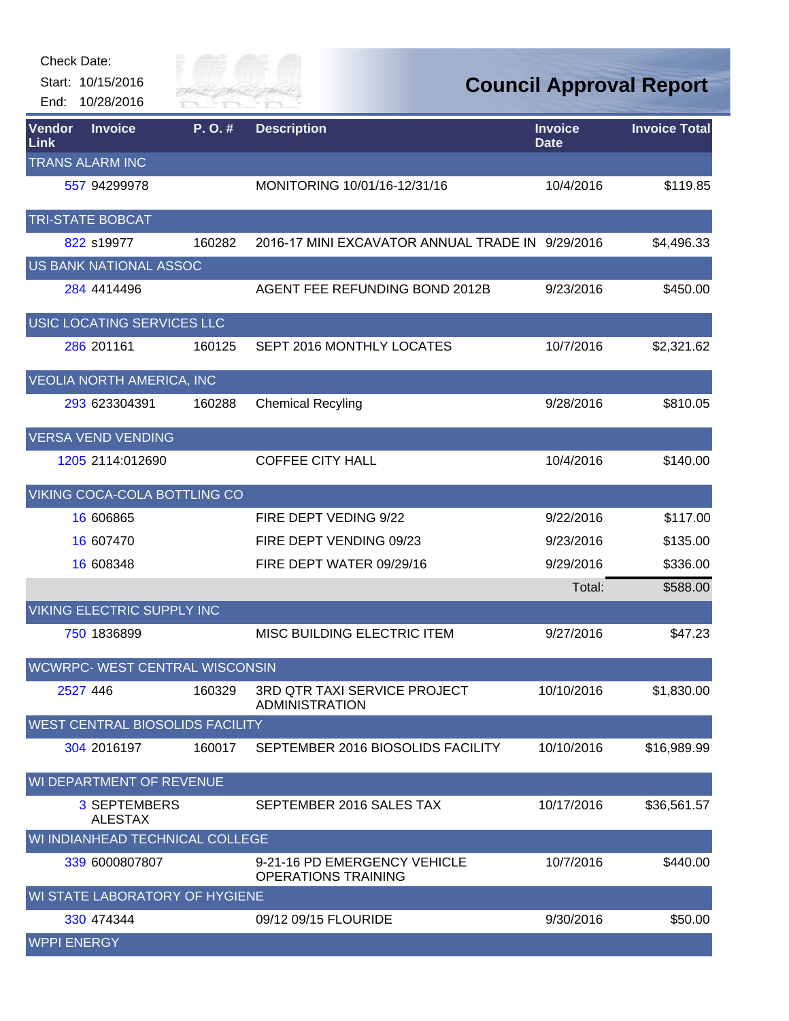

| Vendor<br>Link     | <b>Invoice</b>                        | P.O.#                                  | <b>Description</b>                                         | <b>Invoice</b><br><b>Date</b> | <b>Invoice Total</b> |
|--------------------|---------------------------------------|----------------------------------------|------------------------------------------------------------|-------------------------------|----------------------|
|                    | <b>TRANS ALARM INC</b>                |                                        |                                                            |                               |                      |
|                    | 557 94299978                          |                                        | MONITORING 10/01/16-12/31/16                               | 10/4/2016                     | \$119.85             |
|                    | <b>TRI-STATE BOBCAT</b>               |                                        |                                                            |                               |                      |
|                    | 822 s19977                            | 160282                                 | 2016-17 MINI EXCAVATOR ANNUAL TRADE IN 9/29/2016           |                               | \$4,496.33           |
|                    | US BANK NATIONAL ASSOC                |                                        |                                                            |                               |                      |
|                    | 284 4414496                           |                                        | AGENT FEE REFUNDING BOND 2012B                             | 9/23/2016                     | \$450.00             |
|                    | USIC LOCATING SERVICES LLC            |                                        |                                                            |                               |                      |
|                    | 286 201161                            | 160125                                 | SEPT 2016 MONTHLY LOCATES                                  | 10/7/2016                     | \$2,321.62           |
|                    | VEOLIA NORTH AMERICA, INC             |                                        |                                                            |                               |                      |
|                    | 293 623304391                         | 160288                                 | <b>Chemical Recyling</b>                                   | 9/28/2016                     | \$810.05             |
|                    | <b>VERSA VEND VENDING</b>             |                                        |                                                            |                               |                      |
|                    | 1205 2114:012690                      |                                        | <b>COFFEE CITY HALL</b>                                    | 10/4/2016                     | \$140.00             |
|                    |                                       | VIKING COCA-COLA BOTTLING CO           |                                                            |                               |                      |
|                    | 16 606865                             |                                        | FIRE DEPT VEDING 9/22                                      | 9/22/2016                     | \$117.00             |
|                    | 16 607470                             |                                        | FIRE DEPT VENDING 09/23                                    | 9/23/2016                     | \$135.00             |
|                    | 16 608348                             |                                        | FIRE DEPT WATER 09/29/16                                   | 9/29/2016                     | \$336.00             |
|                    |                                       |                                        |                                                            | Total:                        | \$588.00             |
|                    | <b>VIKING ELECTRIC SUPPLY INC</b>     |                                        |                                                            |                               |                      |
|                    | 750 1836899                           |                                        | MISC BUILDING ELECTRIC ITEM                                | 9/27/2016                     | \$47.23              |
|                    |                                       | WCWRPC- WEST CENTRAL WISCONSIN         |                                                            |                               |                      |
|                    | 2527 446                              | 160329                                 | 3RD QTR TAXI SERVICE PROJECT<br><b>ADMINISTRATION</b>      | 10/10/2016                    | \$1,830.00           |
|                    |                                       | <b>WEST CENTRAL BIOSOLIDS FACILITY</b> |                                                            |                               |                      |
|                    | 304 2016197                           | 160017                                 | SEPTEMBER 2016 BIOSOLIDS FACILITY                          | 10/10/2016                    | \$16,989.99          |
|                    | WI DEPARTMENT OF REVENUE              |                                        |                                                            |                               |                      |
|                    | <b>3 SEPTEMBERS</b><br><b>ALESTAX</b> |                                        | SEPTEMBER 2016 SALES TAX                                   | 10/17/2016                    | \$36,561.57          |
|                    |                                       | WI INDIANHEAD TECHNICAL COLLEGE        |                                                            |                               |                      |
|                    | 339 6000807807                        |                                        | 9-21-16 PD EMERGENCY VEHICLE<br><b>OPERATIONS TRAINING</b> | 10/7/2016                     | \$440.00             |
|                    |                                       | WI STATE LABORATORY OF HYGIENE         |                                                            |                               |                      |
|                    | 330 474344                            |                                        | 09/12 09/15 FLOURIDE                                       | 9/30/2016                     | \$50.00              |
| <b>WPPI ENERGY</b> |                                       |                                        |                                                            |                               |                      |